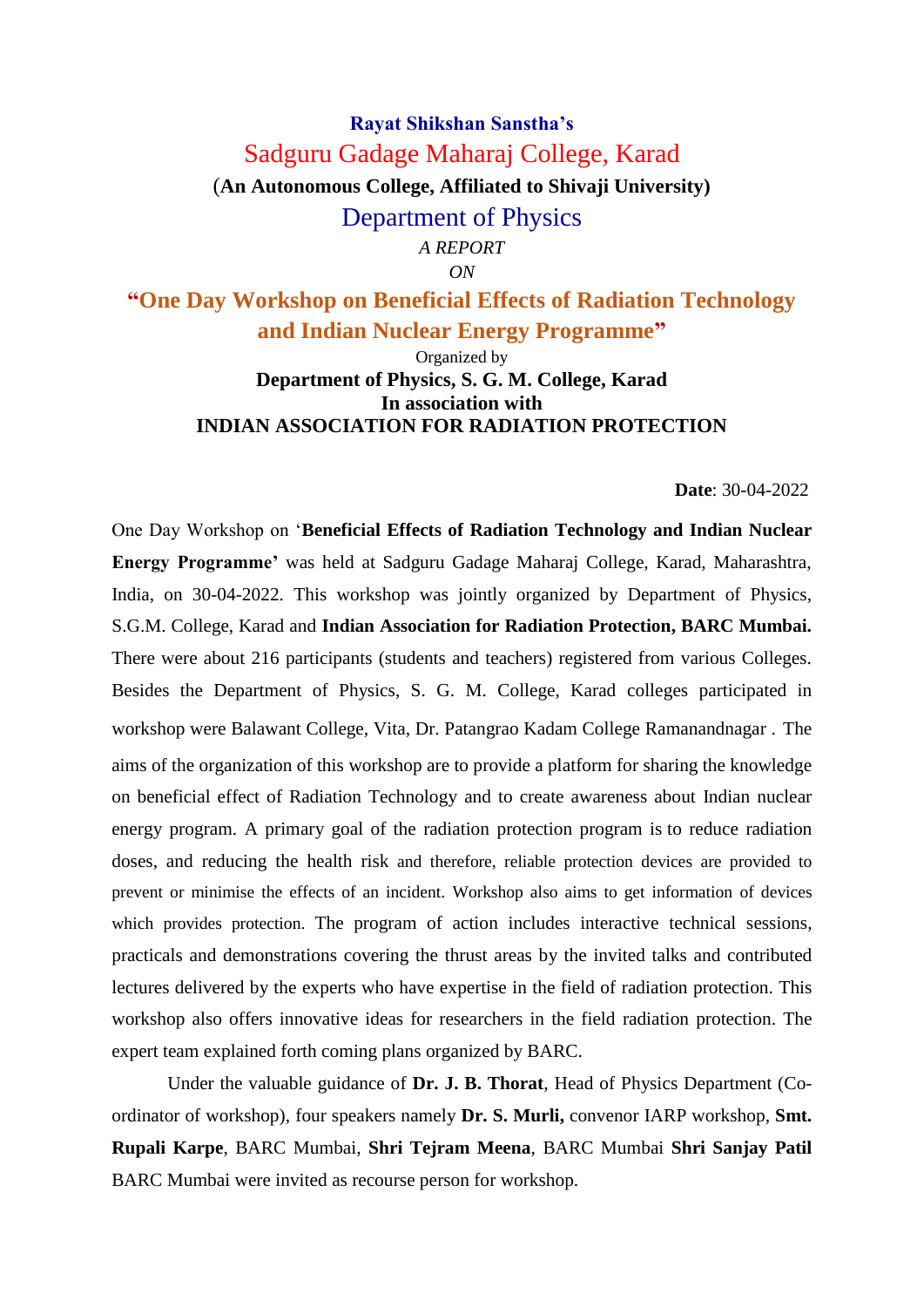# **Rayat Shikshan Sanstha's** Sadguru Gadage Maharaj College, Karad (**An Autonomous College, Affiliated to Shivaji University)** Department of Physics *A REPORT*

*ON*

**"One Day Workshop on Beneficial Effects of Radiation Technology and Indian Nuclear Energy Programme"** 

> Organized by **Department of Physics, S. G. M. College, Karad In association with INDIAN ASSOCIATION FOR RADIATION PROTECTION**

> > **Date**: 30-04-2022

One Day Workshop on '**Beneficial Effects of Radiation Technology and Indian Nuclear Energy Programme'** was held at Sadguru Gadage Maharaj College, Karad, Maharashtra, India, on 30-04-2022. This workshop was jointly organized by Department of Physics, S.G.M. College, Karad and **Indian Association for Radiation Protection, BARC Mumbai.**  There were about 216 participants (students and teachers) registered from various Colleges. Besides the Department of Physics, S. G. M. College, Karad colleges participated in workshop were Balawant College, Vita, Dr. Patangrao Kadam College Ramanandnagar . The aims of the organization of this workshop are to provide a platform for sharing the knowledge on beneficial effect of Radiation Technology and to create awareness about Indian nuclear energy program. A primary goal of the radiation protection program is to reduce radiation doses, and reducing the health risk and therefore, reliable protection devices are provided to prevent or minimise the effects of an incident. Workshop also aims to get information of devices which provides protection. The program of action includes interactive technical sessions, practicals and demonstrations covering the thrust areas by the invited talks and contributed lectures delivered by the experts who have expertise in the field of radiation protection. This workshop also offers innovative ideas for researchers in the field radiation protection. The expert team explained forth coming plans organized by BARC.

Under the valuable guidance of **Dr. J. B. Thorat**, Head of Physics Department (Coordinator of workshop), four speakers namely **Dr. S. Murli,** convenor IARP workshop, **Smt. Rupali Karpe**, BARC Mumbai, **Shri Tejram Meena**, BARC Mumbai **Shri Sanjay Patil**  BARC Mumbai were invited as recourse person for workshop.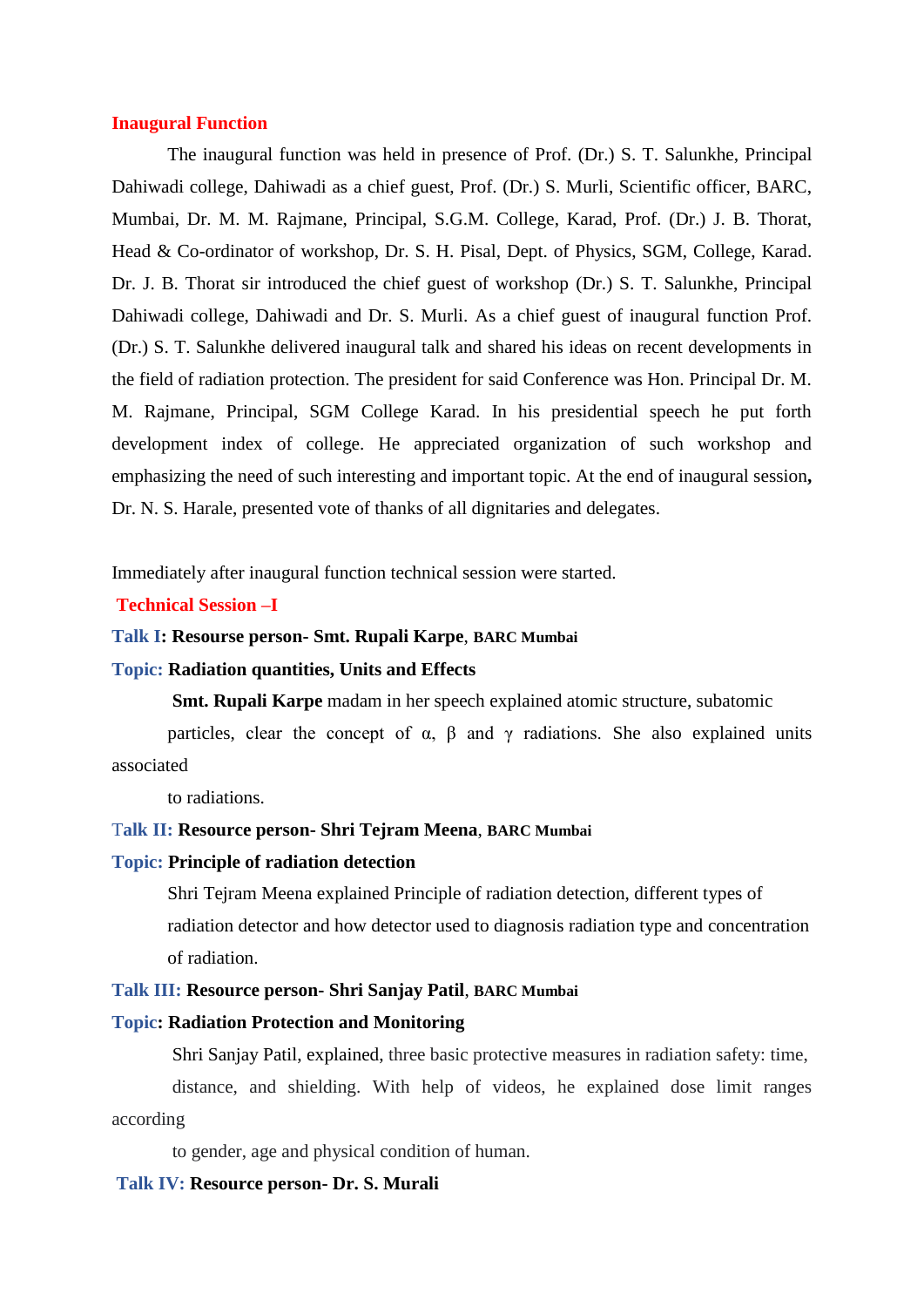#### **Inaugural Function**

The inaugural function was held in presence of Prof. (Dr.) S. T. Salunkhe, Principal Dahiwadi college, Dahiwadi as a chief guest, Prof. (Dr.) S. Murli, Scientific officer, BARC, Mumbai, Dr. M. M. Rajmane, Principal, S.G.M. College, Karad, Prof. (Dr.) J. B. Thorat, Head & Co-ordinator of workshop, Dr. S. H. Pisal, Dept. of Physics, SGM, College, Karad. Dr. J. B. Thorat sir introduced the chief guest of workshop (Dr.) S. T. Salunkhe, Principal Dahiwadi college, Dahiwadi and Dr. S. Murli. As a chief guest of inaugural function Prof. (Dr.) S. T. Salunkhe delivered inaugural talk and shared his ideas on recent developments in the field of radiation protection. The president for said Conference was Hon. Principal Dr. M. M. Rajmane, Principal, SGM College Karad. In his presidential speech he put forth development index of college. He appreciated organization of such workshop and emphasizing the need of such interesting and important topic. At the end of inaugural session**,**  Dr. N. S. Harale, presented vote of thanks of all dignitaries and delegates.

Immediately after inaugural function technical session were started.

## **Technical Session –I**

#### **Talk I: Resourse person- Smt. Rupali Karpe**, **BARC Mumbai**

#### **Topic: Radiation quantities, Units and Effects**

**Smt. Rupali Karpe** madam in her speech explained atomic structure, subatomic

particles, clear the concept of  $\alpha$ ,  $\beta$  and  $\gamma$  radiations. She also explained units associated

to radiations.

#### T**alk II: Resource person- Shri Tejram Meena**, **BARC Mumbai**

#### **Topic: Principle of radiation detection**

Shri Tejram Meena explained Principle of radiation detection, different types of radiation detector and how detector used to diagnosis radiation type and concentration of radiation.

#### **Talk III: Resource person- Shri Sanjay Patil**, **BARC Mumbai**

#### **Topic: Radiation Protection and Monitoring**

Shri Sanjay Patil, explained, three basic protective measures in radiation safety: time,

 distance, and shielding. With help of videos, he explained dose limit ranges according

to gender, age and physical condition of human.

### **Talk IV: Resource person- Dr. S. Murali**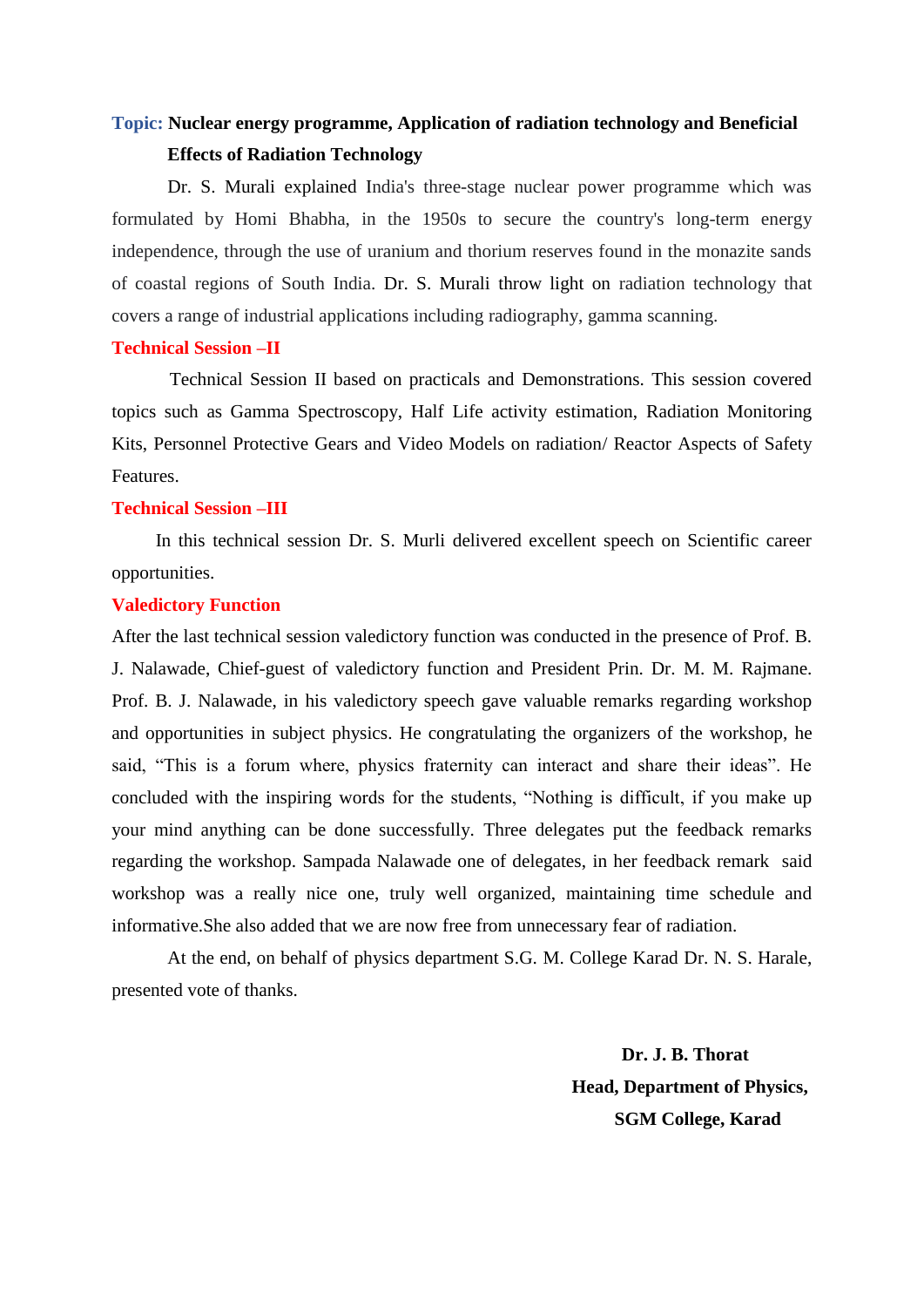# **Topic: Nuclear energy programme, Application of radiation technology and Beneficial Effects of Radiation Technology**

Dr. S. Murali explained India's three-stage nuclear power programme which was formulated by Homi Bhabha, in the 1950s to secure the country's long-term energy independence, through the use of uranium and thorium reserves found in the monazite sands of coastal regions of South India. Dr. S. Murali throw light on radiation technology that covers a range of industrial applications including radiography, gamma scanning.

#### **Technical Session –II**

Technical Session II based on practicals and Demonstrations. This session covered topics such as Gamma Spectroscopy, Half Life activity estimation, Radiation Monitoring Kits, Personnel Protective Gears and Video Models on radiation/ Reactor Aspects of Safety Features.

# **Technical Session –III**

In this technical session Dr. S. Murli delivered excellent speech on Scientific career opportunities.

# **Valedictory Function**

After the last technical session valedictory function was conducted in the presence of Prof. B. J. Nalawade, Chief-guest of valedictory function and President Prin. Dr. M. M. Rajmane. Prof. B. J. Nalawade, in his valedictory speech gave valuable remarks regarding workshop and opportunities in subject physics. He congratulating the organizers of the workshop, he said, "This is a forum where, physics fraternity can interact and share their ideas". He concluded with the inspiring words for the students, "Nothing is difficult, if you make up your mind anything can be done successfully. Three delegates put the feedback remarks regarding the workshop. Sampada Nalawade one of delegates, in her feedback remark said workshop was a really nice one, truly well organized, maintaining time schedule and informative.She also added that we are now free from unnecessary fear of radiation.

At the end, on behalf of physics department S.G. M. College Karad Dr. N. S. Harale, presented vote of thanks.

> **Dr. J. B. Thorat Head, Department of Physics, SGM College, Karad**